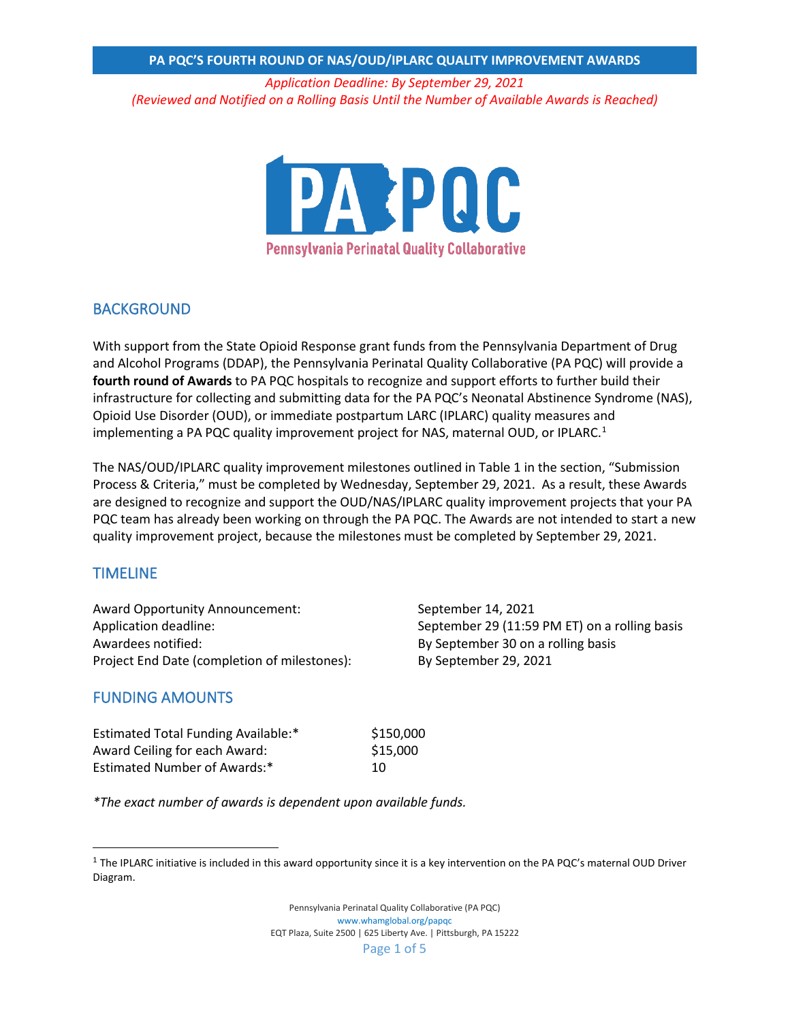*Application Deadline: By September 29, 2021 (Reviewed and Notified on a Rolling Basis Until the Number of Available Awards is Reached)*



### BACKGROUND

With support from the State Opioid Response grant funds from the Pennsylvania Department of Drug and Alcohol Programs (DDAP), the Pennsylvania Perinatal Quality Collaborative (PA PQC) will provide a **fourth round of Awards** to PA PQC hospitals to recognize and support efforts to further build their infrastructure for collecting and submitting data for the PA PQC's Neonatal Abstinence Syndrome (NAS), Opioid Use Disorder (OUD), or immediate postpartum LARC (IPLARC) quality measures and implementing a PA PQC quality improvement project for NAS, maternal OUD, or IPLARC. $1$ 

The NAS/OUD/IPLARC quality improvement milestones outlined in Table 1 in the section, "Submission Process & Criteria," must be completed by Wednesday, September 29, 2021. As a result, these Awards are designed to recognize and support the OUD/NAS/IPLARC quality improvement projects that your PA PQC team has already been working on through the PA PQC. The Awards are not intended to start a new quality improvement project, because the milestones must be completed by September 29, 2021.

### TIMELINE

Award Opportunity Announcement: September 14, 2021 Awardees notified: By September 30 on a rolling basis Project End Date (completion of milestones): By September 29, 2021

Application deadline: September 29 (11:59 PM ET) on a rolling basis

### FUNDING AMOUNTS

Estimated Total Funding Available:\* \$150,000 Award Ceiling for each Award: \$15,000 Estimated Number of Awards:\* 10

*\*The exact number of awards is dependent upon available funds.* 

<span id="page-0-0"></span> $1$  The IPLARC initiative is included in this award opportunity since it is a key intervention on the PA PQC's maternal OUD Driver Diagram.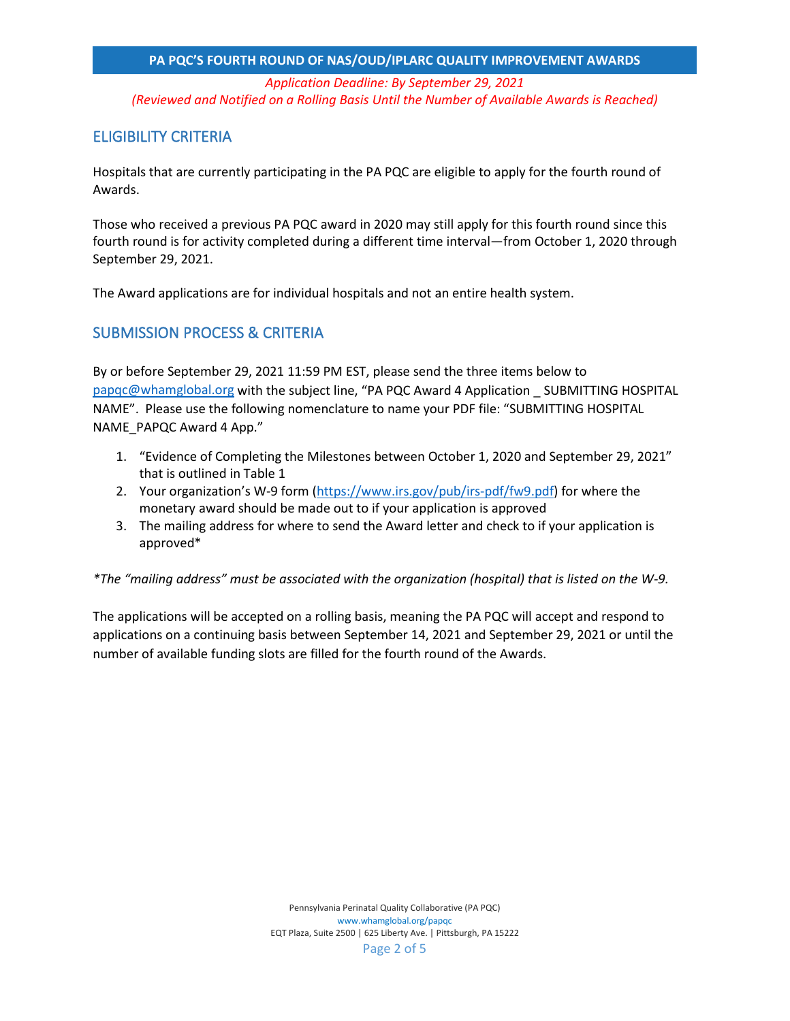*Application Deadline: By September 29, 2021 (Reviewed and Notified on a Rolling Basis Until the Number of Available Awards is Reached)*

## ELIGIBILITY CRITERIA

Hospitals that are currently participating in the PA PQC are eligible to apply for the fourth round of Awards.

Those who received a previous PA PQC award in 2020 may still apply for this fourth round since this fourth round is for activity completed during a different time interval—from October 1, 2020 through September 29, 2021.

The Award applications are for individual hospitals and not an entire health system.

## SUBMISSION PROCESS & CRITERIA

By or before September 29, 2021 11:59 PM EST, please send the three items below to [papqc@whamglobal.org](mailto:papqc@whamglobal.org) with the subject line, "PA PQC Award 4 Application \_ SUBMITTING HOSPITAL NAME". Please use the following nomenclature to name your PDF file: "SUBMITTING HOSPITAL NAME\_PAPQC Award 4 App."

- 1. "Evidence of Completing the Milestones between October 1, 2020 and September 29, 2021" that is outlined in Table 1
- 2. Your organization's W-9 form [\(https://www.irs.gov/pub/irs-pdf/fw9.pdf\)](https://www.irs.gov/pub/irs-pdf/fw9.pdf) for where the monetary award should be made out to if your application is approved
- 3. The mailing address for where to send the Award letter and check to if your application is approved\*

*\*The "mailing address" must be associated with the organization (hospital) that is listed on the W-9.*

The applications will be accepted on a rolling basis, meaning the PA PQC will accept and respond to applications on a continuing basis between September 14, 2021 and September 29, 2021 or until the number of available funding slots are filled for the fourth round of the Awards.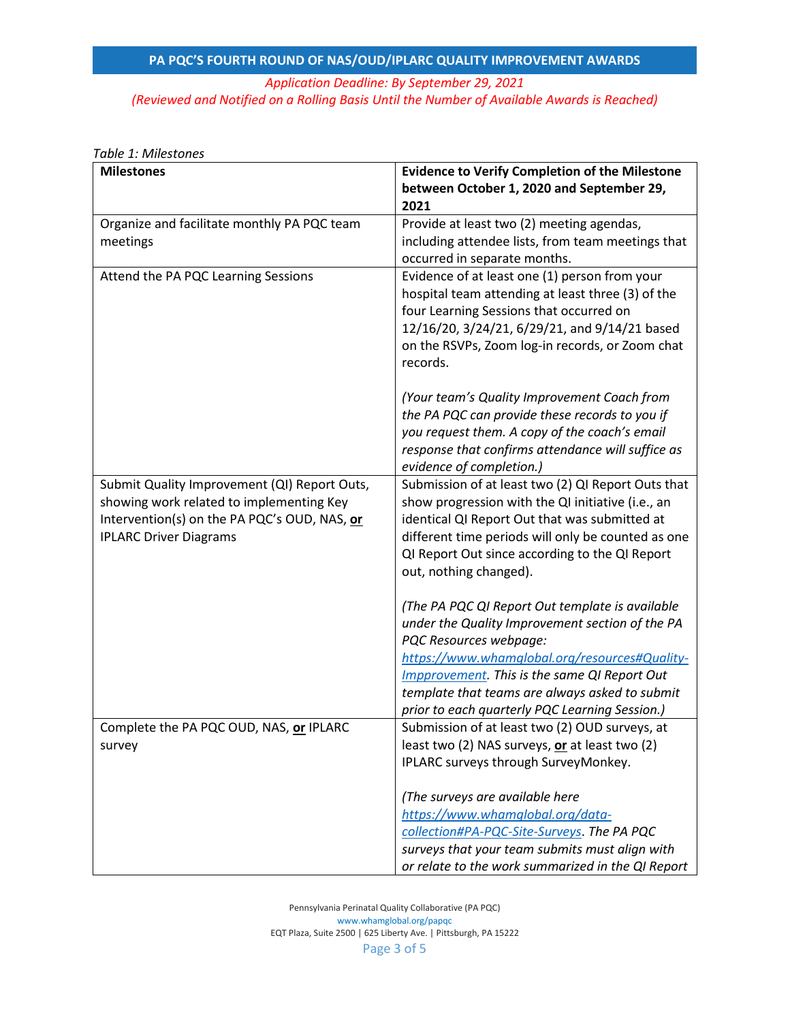## *Application Deadline: By September 29, 2021 (Reviewed and Notified on a Rolling Basis Until the Number of Available Awards is Reached)*

| <b>Milestones</b>                            | <b>Evidence to Verify Completion of the Milestone</b>                                            |
|----------------------------------------------|--------------------------------------------------------------------------------------------------|
|                                              | between October 1, 2020 and September 29,                                                        |
|                                              | 2021                                                                                             |
| Organize and facilitate monthly PA PQC team  | Provide at least two (2) meeting agendas,                                                        |
| meetings                                     | including attendee lists, from team meetings that                                                |
|                                              | occurred in separate months.                                                                     |
| Attend the PA PQC Learning Sessions          | Evidence of at least one (1) person from your                                                    |
|                                              | hospital team attending at least three (3) of the                                                |
|                                              | four Learning Sessions that occurred on<br>12/16/20, 3/24/21, 6/29/21, and 9/14/21 based         |
|                                              | on the RSVPs, Zoom log-in records, or Zoom chat                                                  |
|                                              | records.                                                                                         |
|                                              | (Your team's Quality Improvement Coach from                                                      |
|                                              | the PA PQC can provide these records to you if                                                   |
|                                              | you request them. A copy of the coach's email                                                    |
|                                              | response that confirms attendance will suffice as                                                |
|                                              | evidence of completion.)                                                                         |
| Submit Quality Improvement (QI) Report Outs, | Submission of at least two (2) QI Report Outs that                                               |
| showing work related to implementing Key     | show progression with the QI initiative (i.e., an                                                |
| Intervention(s) on the PA PQC's OUD, NAS, or | identical QI Report Out that was submitted at                                                    |
| <b>IPLARC Driver Diagrams</b>                | different time periods will only be counted as one                                               |
|                                              | QI Report Out since according to the QI Report<br>out, nothing changed).                         |
|                                              |                                                                                                  |
|                                              | (The PA PQC QI Report Out template is available                                                  |
|                                              | under the Quality Improvement section of the PA                                                  |
|                                              | PQC Resources webpage:                                                                           |
|                                              | https://www.whamglobal.org/resources#Quality-                                                    |
|                                              | Impprovement. This is the same QI Report Out                                                     |
|                                              | template that teams are always asked to submit                                                   |
|                                              | prior to each quarterly PQC Learning Session.)                                                   |
| Complete the PA PQC OUD, NAS, or IPLARC      | Submission of at least two (2) OUD surveys, at<br>least two (2) NAS surveys, or at least two (2) |
| survey                                       | IPLARC surveys through SurveyMonkey.                                                             |
|                                              |                                                                                                  |
|                                              | (The surveys are available here                                                                  |
|                                              | https://www.whamglobal.org/data-                                                                 |
|                                              | collection#PA-PQC-Site-Surveys. The PA PQC                                                       |
|                                              | surveys that your team submits must align with                                                   |
|                                              | or relate to the work summarized in the QI Report                                                |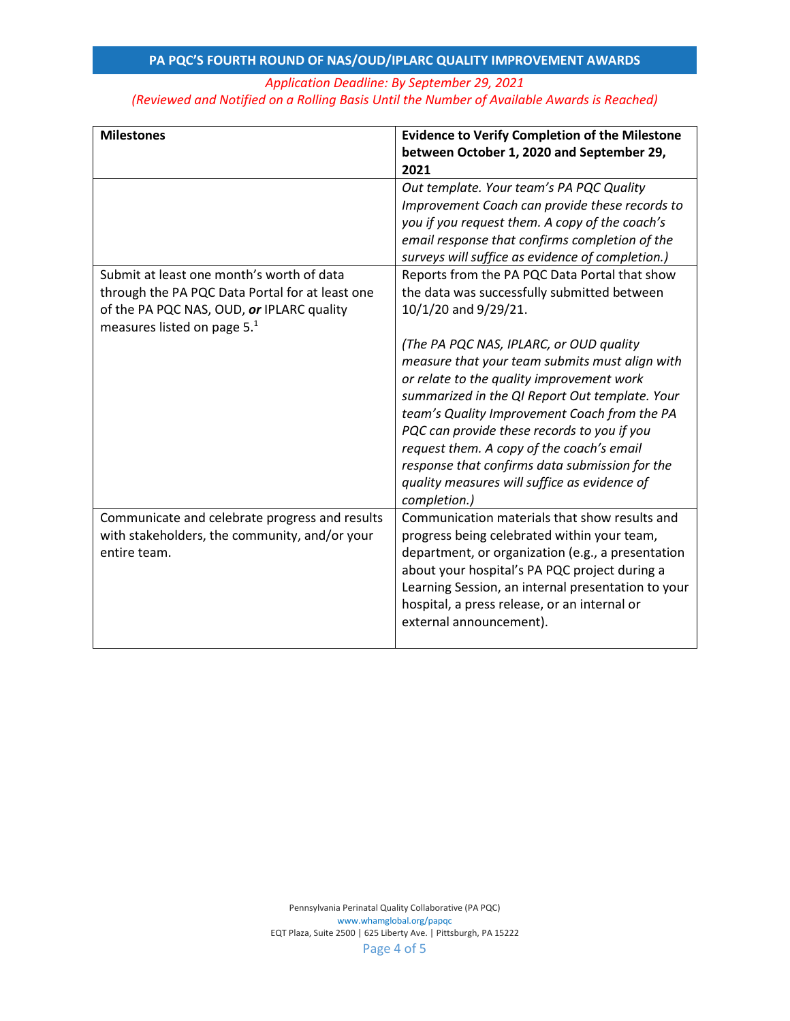## *Application Deadline: By September 29, 2021 (Reviewed and Notified on a Rolling Basis Until the Number of Available Awards is Reached)*

| <b>Milestones</b>                                                                                                                         | <b>Evidence to Verify Completion of the Milestone</b>                                                                                                                                                                                                                                                                                                                                                                                                  |
|-------------------------------------------------------------------------------------------------------------------------------------------|--------------------------------------------------------------------------------------------------------------------------------------------------------------------------------------------------------------------------------------------------------------------------------------------------------------------------------------------------------------------------------------------------------------------------------------------------------|
|                                                                                                                                           | between October 1, 2020 and September 29,                                                                                                                                                                                                                                                                                                                                                                                                              |
|                                                                                                                                           | 2021                                                                                                                                                                                                                                                                                                                                                                                                                                                   |
| Submit at least one month's worth of data<br>through the PA PQC Data Portal for at least one<br>of the PA PQC NAS, OUD, or IPLARC quality | Out template. Your team's PA PQC Quality<br>Improvement Coach can provide these records to<br>you if you request them. A copy of the coach's<br>email response that confirms completion of the<br>surveys will suffice as evidence of completion.)<br>Reports from the PA PQC Data Portal that show<br>the data was successfully submitted between<br>10/1/20 and 9/29/21.                                                                             |
| measures listed on page 5. <sup>1</sup>                                                                                                   | (The PA PQC NAS, IPLARC, or OUD quality<br>measure that your team submits must align with<br>or relate to the quality improvement work<br>summarized in the QI Report Out template. Your<br>team's Quality Improvement Coach from the PA<br>PQC can provide these records to you if you<br>request them. A copy of the coach's email<br>response that confirms data submission for the<br>quality measures will suffice as evidence of<br>completion.) |
| Communicate and celebrate progress and results<br>with stakeholders, the community, and/or your<br>entire team.                           | Communication materials that show results and<br>progress being celebrated within your team,<br>department, or organization (e.g., a presentation<br>about your hospital's PA PQC project during a<br>Learning Session, an internal presentation to your<br>hospital, a press release, or an internal or<br>external announcement).                                                                                                                    |